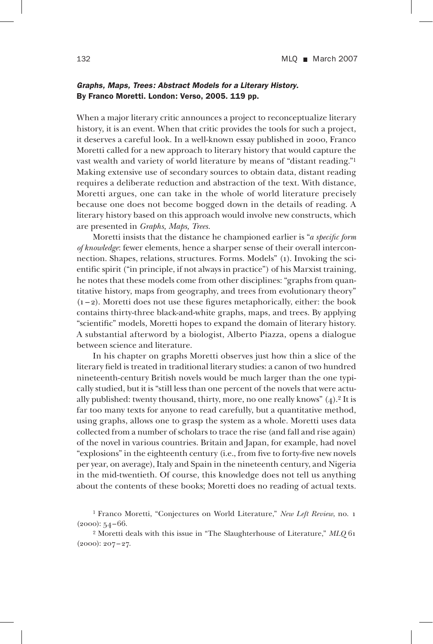## *Graphs, Maps, Trees: Abstract Models for a Literary History*. By Franco Moretti. London: Verso, 2005. 119 pp.

When a major literary critic announces a project to reconceptualize literary history, it is an event. When that critic provides the tools for such a project, it deserves a careful look. In a well-known essay published in 2000, Franco Moretti called for a new approach to literary history that would capture the vast wealth and variety of world literature by means of "distant reading."1 Making extensive use of secondary sources to obtain data, distant reading requires a deliberate reduction and abstraction of the text. With distance, Moretti argues, one can take in the whole of world literature precisely because one does not become bogged down in the details of reading. A literary history based on this approach would involve new constructs, which are presented in *Graphs, Maps, Trees*.

Moretti insists that the distance he championed earlier is "*a specific form of knowledge*: fewer elements, hence a sharper sense of their overall interconnection. Shapes, relations, structures. Forms. Models" (1). Invoking the scientific spirit ("in principle, if not always in practice") of his Marxist training, he notes that these models come from other disciplines: "graphs from quantitative history, maps from geography, and trees from evolutionary theory"  $(1-2)$ . Moretti does not use these figures metaphorically, either: the book contains thirty-three black-and-white graphs, maps, and trees. By applying "scientific" models, Moretti hopes to expand the domain of literary history. A substantial afterword by a biologist, Alberto Piazza, opens a dialogue between science and literature.

In his chapter on graphs Moretti observes just how thin a slice of the literary field is treated in traditional literary studies: a canon of two hundred nineteenth-century British novels would be much larger than the one typically studied, but it is "still less than one percent of the novels that were actually published: twenty thousand, thirty, more, no one really knows"  $(4)$ .<sup>2</sup> It is far too many texts for anyone to read carefully, but a quantitative method, using graphs, allows one to grasp the system as a whole. Moretti uses data collected from a number of scholars to trace the rise (and fall and rise again) of the novel in various countries. Britain and Japan, for example, had novel "explosions" in the eighteenth century (i.e., from five to forty-five new novels per year, on average), Italy and Spain in the nineteenth century, and Nigeria in the mid-twentieth. Of course, this knowledge does not tell us anything about the contents of these books; Moretti does no reading of actual texts.

<sup>1</sup> Franco Moretti, "Conjectures on World Literature," *New Left Review*, no. 1  $(2000): 54–66.$ 

<sup>2</sup> Moretti deals with this issue in "The Slaughterhouse of Literature," *MLQ* 61 (2000): 207–27.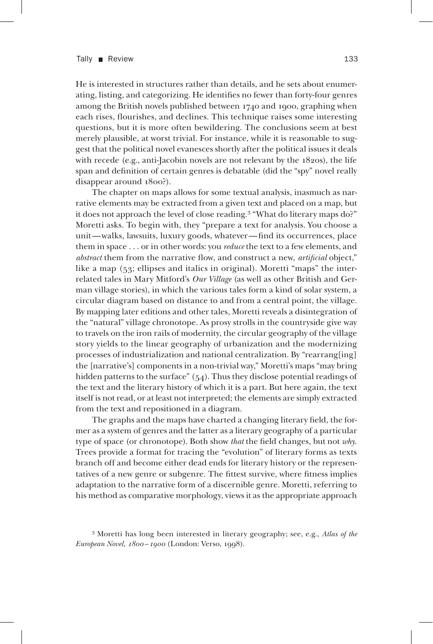## Tally **Review** 133

He is interested in structures rather than details, and he sets about enumerating, listing, and categorizing. He identifies no fewer than forty-four genres among the British novels published between 1740 and 1900, graphing when each rises, flourishes, and declines. This technique raises some interesting questions, but it is more often bewildering. The conclusions seem at best merely plausible, at worst trivial. For instance, while it is reasonable to suggest that the political novel evanesces shortly after the political issues it deals with recede (e.g., anti-Jacobin novels are not relevant by the 1820s), the life span and definition of certain genres is debatable (did the "spy" novel really disappear around 1800?).

The chapter on maps allows for some textual analysis, inasmuch as narrative elements may be extracted from a given text and placed on a map, but it does not approach the level of close reading.3 "What do literary maps do?" Moretti asks. To begin with, they "prepare a text for analysis. You choose a unit—walks, lawsuits, luxury goods, whatever—find its occurrences, place them in space . . . or in other words: you *reduce* the text to a few elements, and *abstract* them from the narrative flow, and construct a new, *artificial* object," like a map (53; ellipses and italics in original). Moretti "maps" the interrelated tales in Mary Mitford's *Our Village* (as well as other British and German village stories), in which the various tales form a kind of solar system, a circular diagram based on distance to and from a central point, the village. By mapping later editions and other tales, Moretti reveals a disintegration of the "natural" village chronotope. As prosy strolls in the countryside give way to travels on the iron rails of modernity, the circular geography of the village story yields to the linear geography of urbanization and the modernizing processes of industrialization and national centralization. By "rearrang[ing] the [narrative's] components in a non-trivial way," Moretti's maps "may bring hidden patterns to the surface" (54). Thus they disclose potential readings of the text and the literary history of which it is a part. But here again, the text itself is not read, or at least not interpreted; the elements are simply extracted from the text and repositioned in a diagram.

The graphs and the maps have charted a changing literary field, the former as a system of genres and the latter as a literary geography of a particular type of space (or chronotope). Both show *that* the field changes, but not *why*. Trees provide a format for tracing the "evolution" of literary forms as texts branch off and become either dead ends for literary history or the representatives of a new genre or subgenre. The fittest survive, where fitness implies adaptation to the narrative form of a discernible genre. Moretti, referring to his method as comparative morphology, views it as the appropriate approach

<sup>3</sup> Moretti has long been interested in literary geography; see, e.g., *Atlas of the European Novel, 1800–1900* (London: Verso, 1998).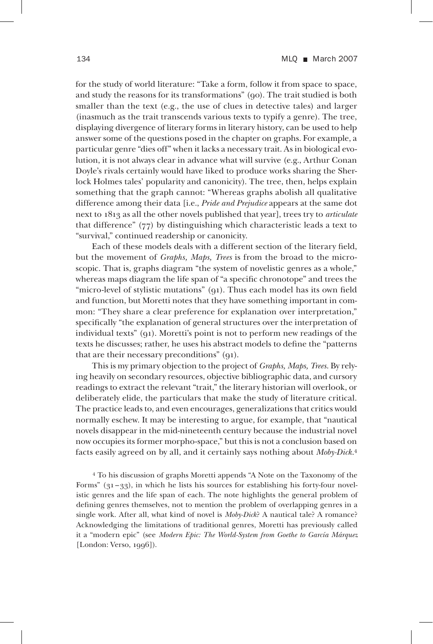for the study of world literature: "Take a form, follow it from space to space, and study the reasons for its transformations" (90). The trait studied is both smaller than the text (e.g., the use of clues in detective tales) and larger (inasmuch as the trait transcends various texts to typify a genre). The tree, displaying divergence of literary forms in literary history, can be used to help answer some of the questions posed in the chapter on graphs. For example, a particular genre "dies off" when it lacks a necessary trait. As in biological evolution, it is not always clear in advance what will survive (e.g., Arthur Conan Doyle's rivals certainly would have liked to produce works sharing the Sherlock Holmes tales' popularity and canonicity). The tree, then, helps explain something that the graph cannot: "Whereas graphs abolish all qualitative difference among their data [i.e., *Pride and Prejudice* appears at the same dot next to 1813 as all the other novels published that year], trees try to *articulate* that difference" (77) by distinguishing which characteristic leads a text to "survival," continued readership or canonicity.

Each of these models deals with a different section of the literary field, but the movement of *Graphs, Maps, Trees* is from the broad to the microscopic. That is, graphs diagram "the system of novelistic genres as a whole," whereas maps diagram the life span of "a specific chronotope" and trees the "micro-level of stylistic mutations" (91). Thus each model has its own field and function, but Moretti notes that they have something important in common: "They share a clear preference for explanation over interpretation," specifically "the explanation of general structures over the interpretation of individual texts" (91). Moretti's point is not to perform new readings of the texts he discusses; rather, he uses his abstract models to define the "patterns that are their necessary preconditions" (91).

This is my primary objection to the project of *Graphs, Maps, Trees*. By relying heavily on secondary resources, objective bibliographic data, and cursory readings to extract the relevant "trait," the literary historian will overlook, or deliberately elide, the particulars that make the study of literature critical. The practice leads to, and even encourages, generalizations that critics would normally eschew. It may be interesting to argue, for example, that "nautical novels disappear in the mid-nineteenth century because the industrial novel now occupies its former morpho-space," but this is not a conclusion based on facts easily agreed on by all, and it certainly says nothing about *Moby-Dick*.4

<sup>4</sup> To his discussion of graphs Moretti appends "A Note on the Taxonomy of the Forms"  $(31-33)$ , in which he lists his sources for establishing his forty-four novelistic genres and the life span of each. The note highlights the general problem of defining genres themselves, not to mention the problem of overlapping genres in a single work. After all, what kind of novel is *Moby-Dick*? A nautical tale? A romance? Acknowledging the limitations of traditional genres, Moretti has previously called it a "modern epic" (see *Modern Epic: The World-System from Goethe to García Márquez* [London: Verso, 1996]).